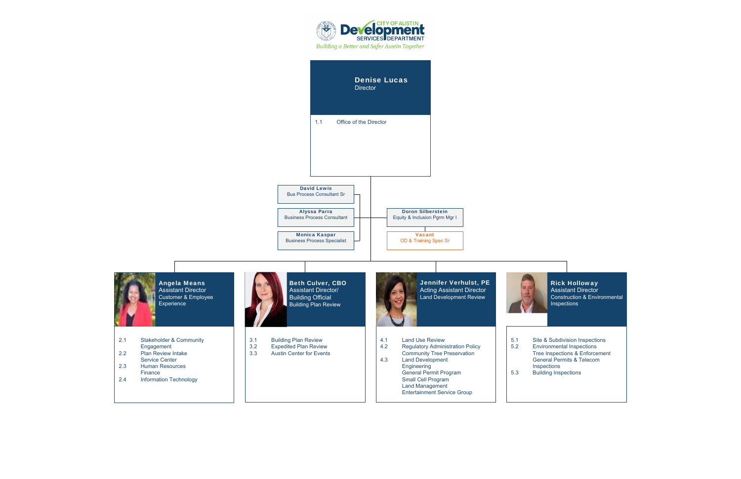Rick Holloway Assistant Director Construction & Environmental Inspections

5.1 Site & Subdivision Inspections<br>5.2 Environmental Inspections Environmental Inspections Tree Inspections & Enforcement General Permits & Telecom Inspections 5.3 Building Inspections



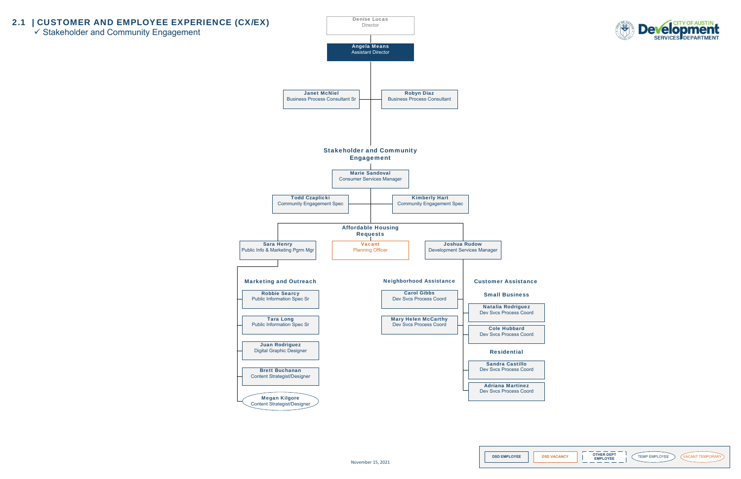## 2.1 | CUSTOMER AND EMPLOYEE EXPERIENCE (CX/EX)

Stakeholder and Community Engagement











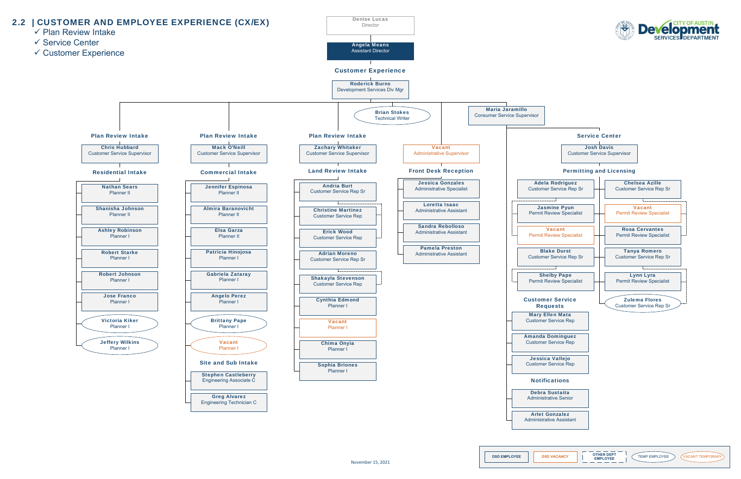

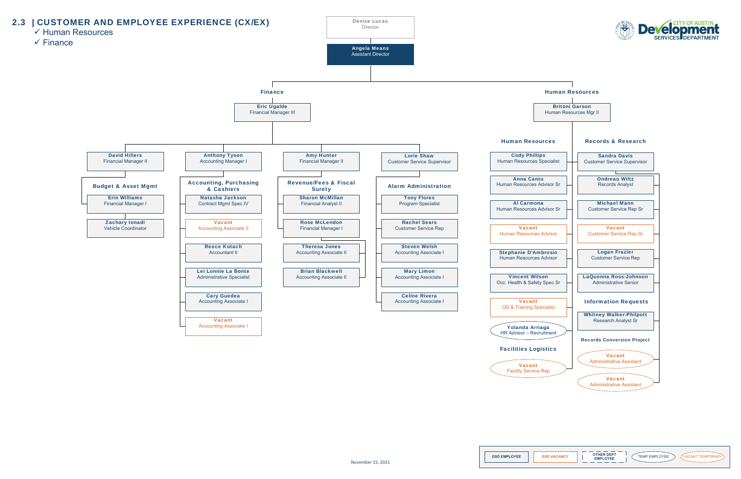



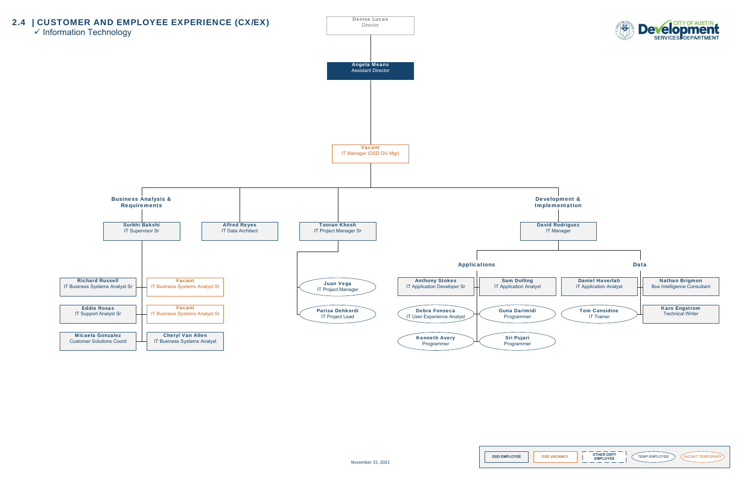







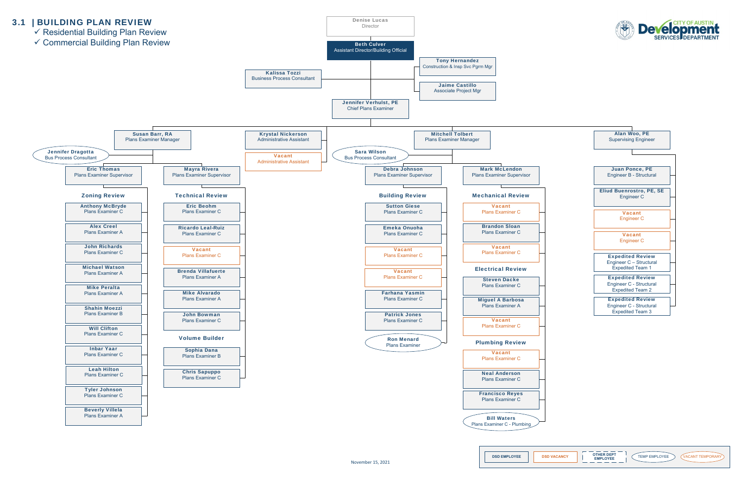





**DSD EMPLOYEE DSD VACANCY TEMP AND A CHANG A TEMP EMPLOYEE VACANT TEMPORARY**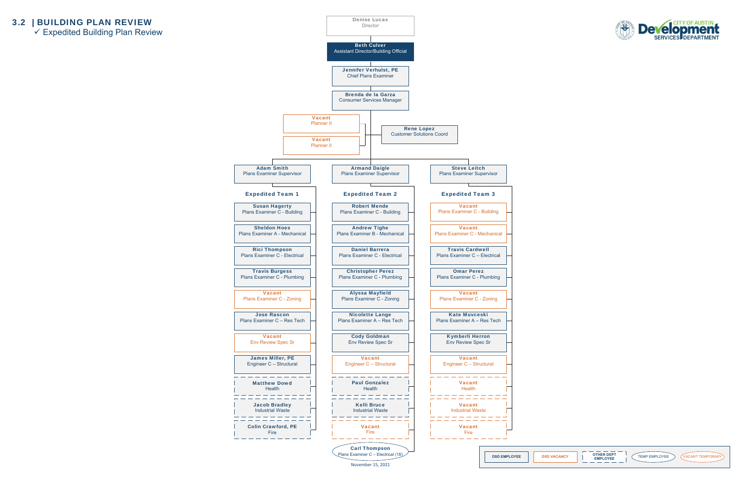## 3.2 | BUILDING PLAN REVIEW

 $\checkmark$  Expedited Building Plan Review









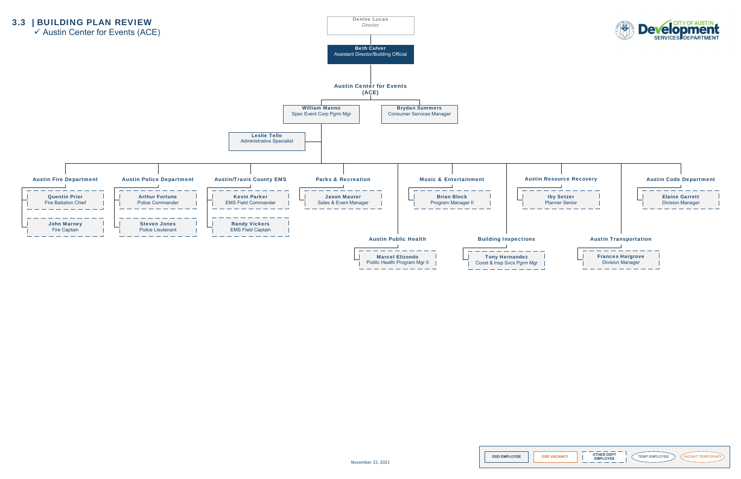3.3 | BUILDING PLAN REVIEW











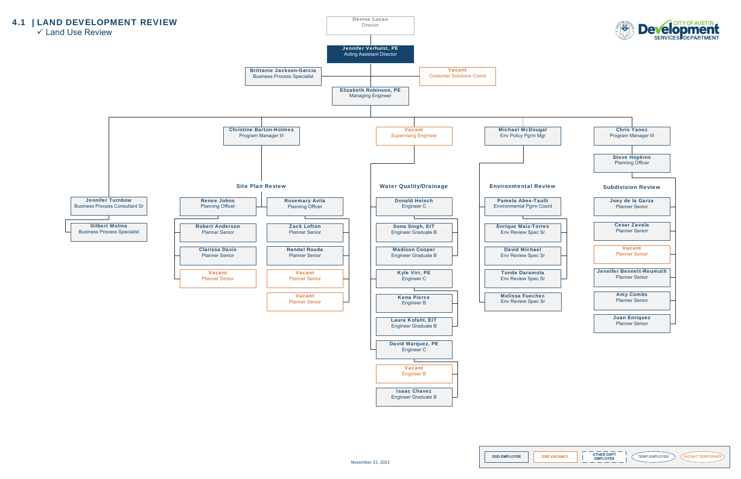

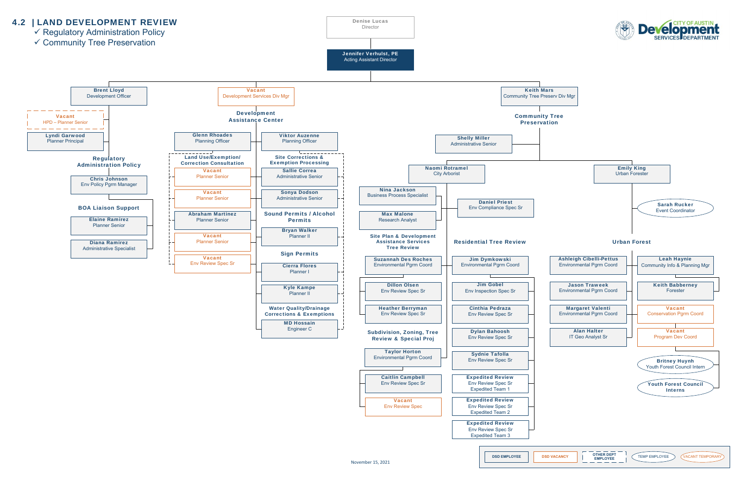**DSD EMPLOYEE DSD VACANCY TEMP AND A CHANG A TEMP EMPLOYEE VACANT TEMPORARY** 



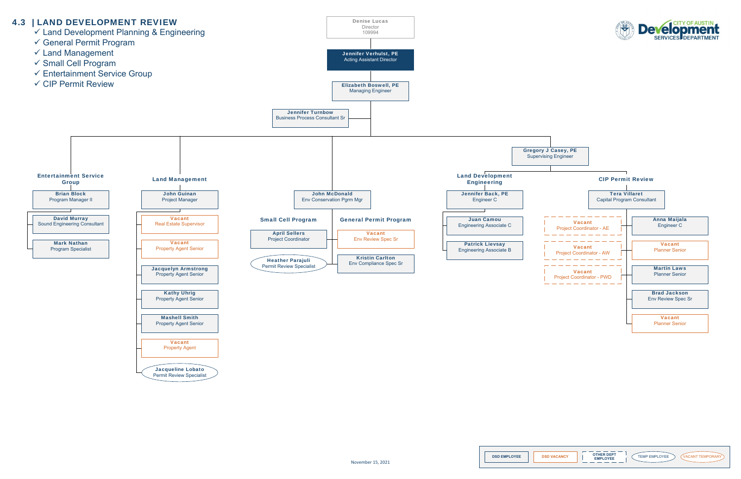









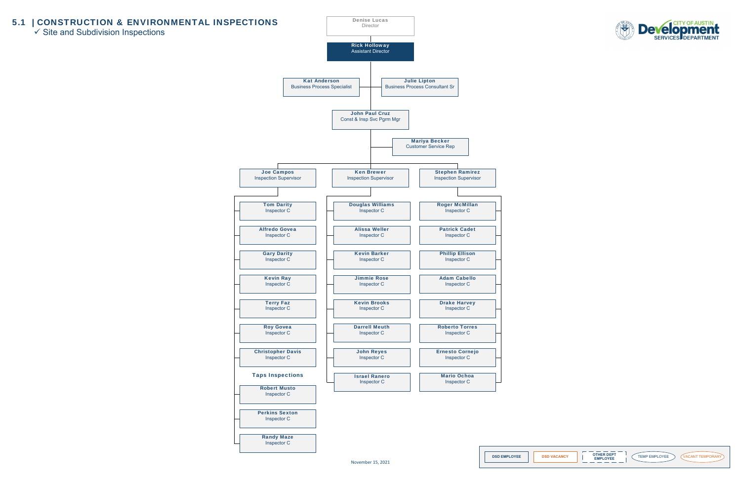## 5.1 | CONSTRUCTION & ENVIRONMENTAL INSPECTIONS

 $\checkmark$  Site and Subdivision Inspections









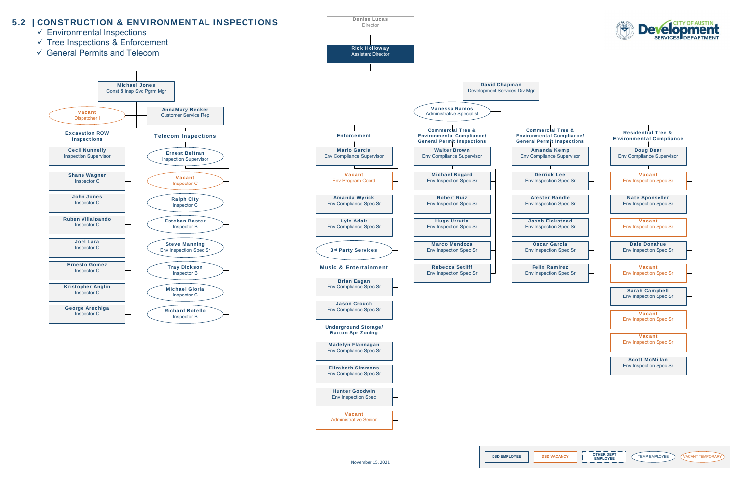**DSD EMPLOYEE | DSD VACANCY | | EMPLOYEE | TEMP EMPLOYEE ) (VACANT TEMPORARY** 





Administrative Senior